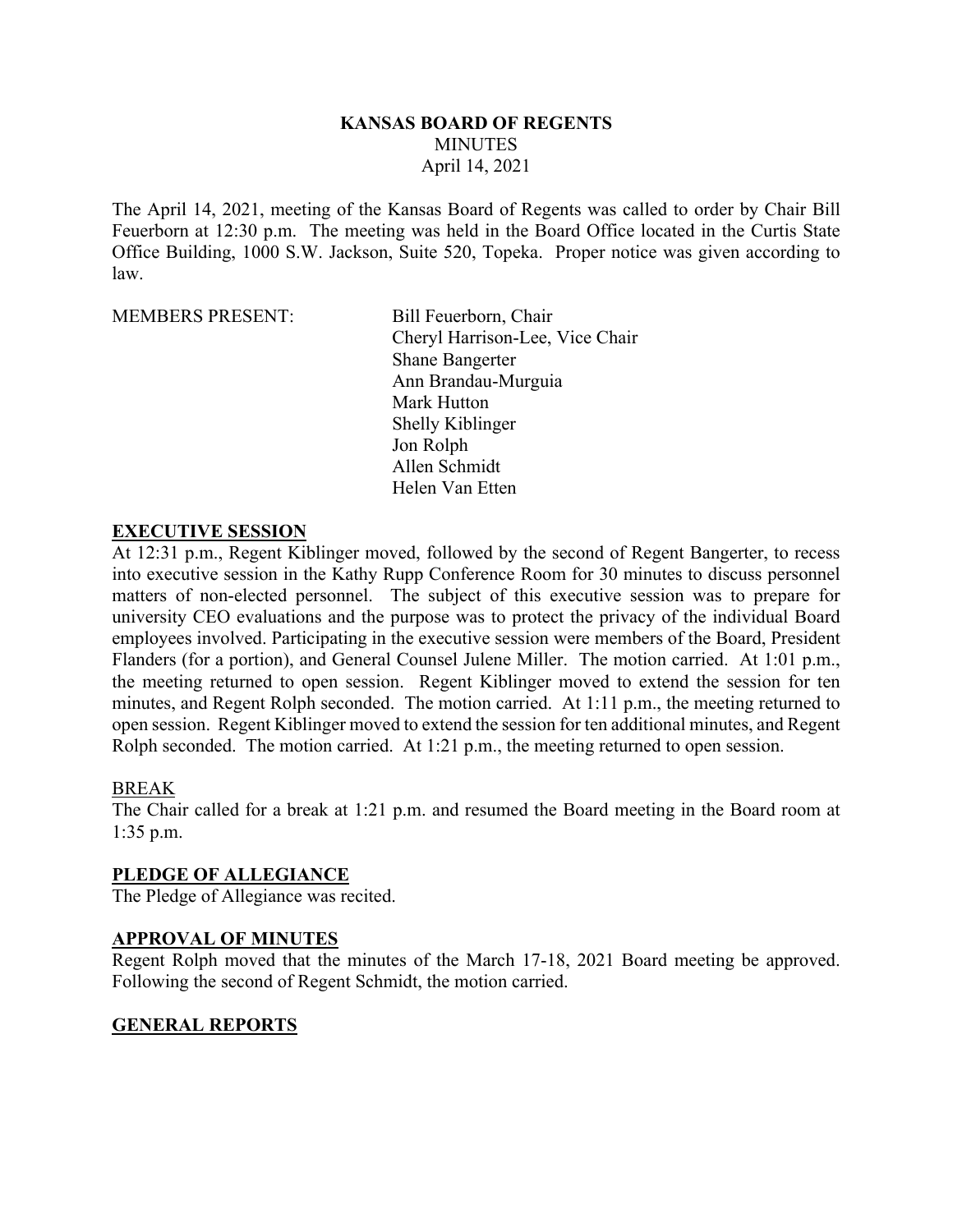### **KANSAS BOARD OF REGENTS MINUTES** April 14, 2021

The April 14, 2021, meeting of the Kansas Board of Regents was called to order by Chair Bill Feuerborn at 12:30 p.m. The meeting was held in the Board Office located in the Curtis State Office Building, 1000 S.W. Jackson, Suite 520, Topeka. Proper notice was given according to law.

MEMBERS PRESENT: Bill Feuerborn, Chair

Cheryl Harrison-Lee, Vice Chair Shane Bangerter Ann Brandau-Murguia Mark Hutton Shelly Kiblinger Jon Rolph Allen Schmidt Helen Van Etten

#### **EXECUTIVE SESSION**

At 12:31 p.m., Regent Kiblinger moved, followed by the second of Regent Bangerter, to recess into executive session in the Kathy Rupp Conference Room for 30 minutes to discuss personnel matters of non-elected personnel. The subject of this executive session was to prepare for university CEO evaluations and the purpose was to protect the privacy of the individual Board employees involved. Participating in the executive session were members of the Board, President Flanders (for a portion), and General Counsel Julene Miller. The motion carried. At 1:01 p.m., the meeting returned to open session. Regent Kiblinger moved to extend the session for ten minutes, and Regent Rolph seconded. The motion carried. At 1:11 p.m., the meeting returned to open session. Regent Kiblinger moved to extend the session for ten additional minutes, and Regent Rolph seconded. The motion carried. At 1:21 p.m., the meeting returned to open session.

#### BREAK

The Chair called for a break at 1:21 p.m. and resumed the Board meeting in the Board room at 1:35 p.m.

#### **PLEDGE OF ALLEGIANCE**

The Pledge of Allegiance was recited.

#### **APPROVAL OF MINUTES**

Regent Rolph moved that the minutes of the March 17-18, 2021 Board meeting be approved. Following the second of Regent Schmidt, the motion carried.

#### **GENERAL REPORTS**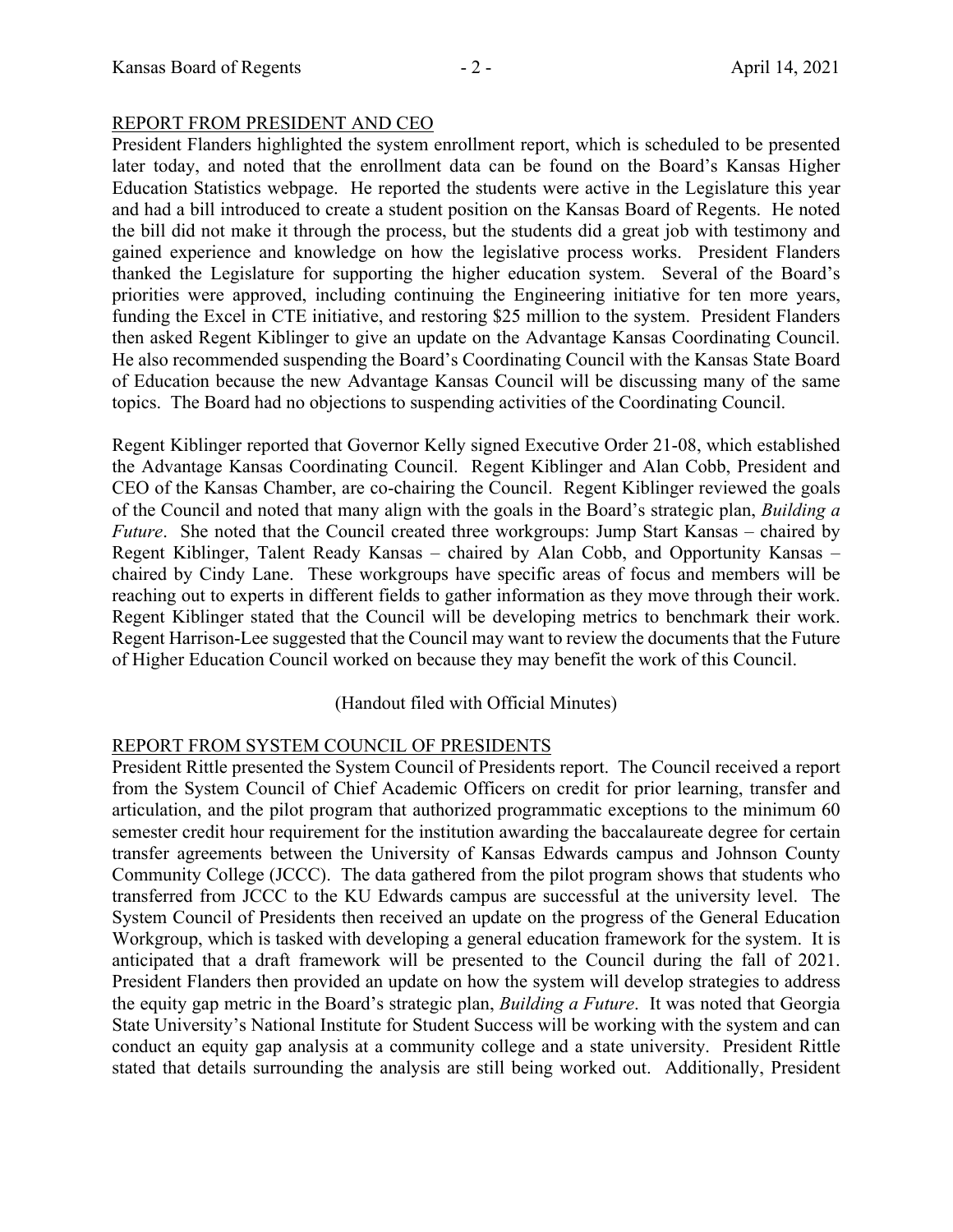#### REPORT FROM PRESIDENT AND CEO

President Flanders highlighted the system enrollment report, which is scheduled to be presented later today, and noted that the enrollment data can be found on the Board's Kansas Higher Education Statistics webpage. He reported the students were active in the Legislature this year and had a bill introduced to create a student position on the Kansas Board of Regents. He noted the bill did not make it through the process, but the students did a great job with testimony and gained experience and knowledge on how the legislative process works. President Flanders thanked the Legislature for supporting the higher education system. Several of the Board's priorities were approved, including continuing the Engineering initiative for ten more years, funding the Excel in CTE initiative, and restoring \$25 million to the system. President Flanders then asked Regent Kiblinger to give an update on the Advantage Kansas Coordinating Council. He also recommended suspending the Board's Coordinating Council with the Kansas State Board of Education because the new Advantage Kansas Council will be discussing many of the same topics. The Board had no objections to suspending activities of the Coordinating Council.

Regent Kiblinger reported that Governor Kelly signed Executive Order 21-08, which established the Advantage Kansas Coordinating Council. Regent Kiblinger and Alan Cobb, President and CEO of the Kansas Chamber, are co-chairing the Council. Regent Kiblinger reviewed the goals of the Council and noted that many align with the goals in the Board's strategic plan, *Building a Future*. She noted that the Council created three workgroups: Jump Start Kansas – chaired by Regent Kiblinger, Talent Ready Kansas – chaired by Alan Cobb, and Opportunity Kansas – chaired by Cindy Lane. These workgroups have specific areas of focus and members will be reaching out to experts in different fields to gather information as they move through their work. Regent Kiblinger stated that the Council will be developing metrics to benchmark their work. Regent Harrison-Lee suggested that the Council may want to review the documents that the Future of Higher Education Council worked on because they may benefit the work of this Council.

#### (Handout filed with Official Minutes)

## REPORT FROM SYSTEM COUNCIL OF PRESIDENTS

President Rittle presented the System Council of Presidents report. The Council received a report from the System Council of Chief Academic Officers on credit for prior learning, transfer and articulation, and the pilot program that authorized programmatic exceptions to the minimum 60 semester credit hour requirement for the institution awarding the baccalaureate degree for certain transfer agreements between the University of Kansas Edwards campus and Johnson County Community College (JCCC). The data gathered from the pilot program shows that students who transferred from JCCC to the KU Edwards campus are successful at the university level. The System Council of Presidents then received an update on the progress of the General Education Workgroup, which is tasked with developing a general education framework for the system. It is anticipated that a draft framework will be presented to the Council during the fall of 2021. President Flanders then provided an update on how the system will develop strategies to address the equity gap metric in the Board's strategic plan, *Building a Future*. It was noted that Georgia State University's National Institute for Student Success will be working with the system and can conduct an equity gap analysis at a community college and a state university. President Rittle stated that details surrounding the analysis are still being worked out. Additionally, President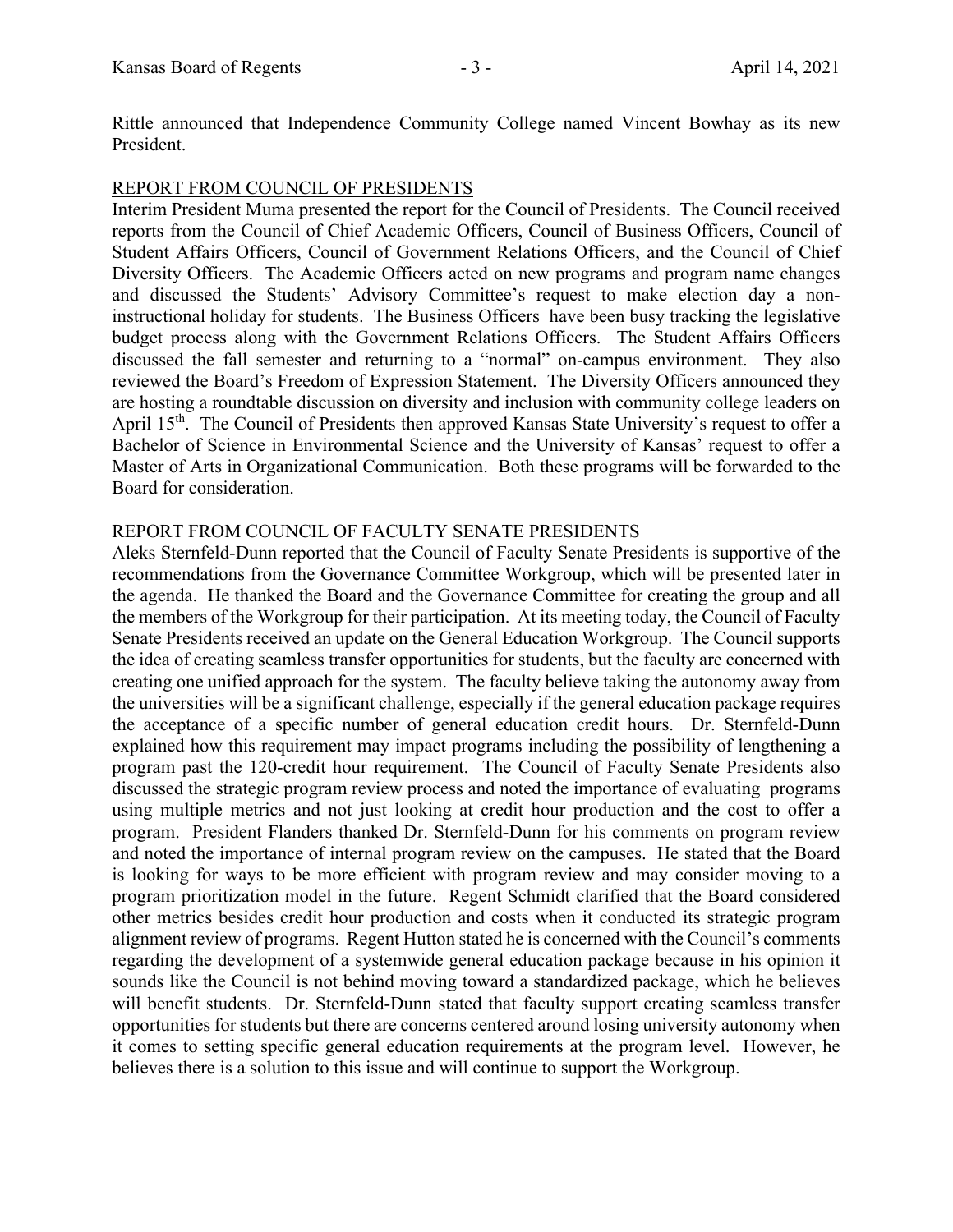Rittle announced that Independence Community College named Vincent Bowhay as its new President.

## REPORT FROM COUNCIL OF PRESIDENTS

Interim President Muma presented the report for the Council of Presidents. The Council received reports from the Council of Chief Academic Officers, Council of Business Officers, Council of Student Affairs Officers, Council of Government Relations Officers, and the Council of Chief Diversity Officers. The Academic Officers acted on new programs and program name changes and discussed the Students' Advisory Committee's request to make election day a noninstructional holiday for students. The Business Officers have been busy tracking the legislative budget process along with the Government Relations Officers. The Student Affairs Officers discussed the fall semester and returning to a "normal" on-campus environment. They also reviewed the Board's Freedom of Expression Statement. The Diversity Officers announced they are hosting a roundtable discussion on diversity and inclusion with community college leaders on April 15<sup>th</sup>. The Council of Presidents then approved Kansas State University's request to offer a Bachelor of Science in Environmental Science and the University of Kansas' request to offer a Master of Arts in Organizational Communication. Both these programs will be forwarded to the Board for consideration.

## REPORT FROM COUNCIL OF FACULTY SENATE PRESIDENTS

Aleks Sternfeld-Dunn reported that the Council of Faculty Senate Presidents is supportive of the recommendations from the Governance Committee Workgroup, which will be presented later in the agenda. He thanked the Board and the Governance Committee for creating the group and all the members of the Workgroup for their participation. At its meeting today, the Council of Faculty Senate Presidents received an update on the General Education Workgroup. The Council supports the idea of creating seamless transfer opportunities for students, but the faculty are concerned with creating one unified approach for the system. The faculty believe taking the autonomy away from the universities will be a significant challenge, especially if the general education package requires the acceptance of a specific number of general education credit hours. Dr. Sternfeld-Dunn explained how this requirement may impact programs including the possibility of lengthening a program past the 120-credit hour requirement. The Council of Faculty Senate Presidents also discussed the strategic program review process and noted the importance of evaluating programs using multiple metrics and not just looking at credit hour production and the cost to offer a program. President Flanders thanked Dr. Sternfeld-Dunn for his comments on program review and noted the importance of internal program review on the campuses. He stated that the Board is looking for ways to be more efficient with program review and may consider moving to a program prioritization model in the future. Regent Schmidt clarified that the Board considered other metrics besides credit hour production and costs when it conducted its strategic program alignment review of programs. Regent Hutton stated he is concerned with the Council's comments regarding the development of a systemwide general education package because in his opinion it sounds like the Council is not behind moving toward a standardized package, which he believes will benefit students. Dr. Sternfeld-Dunn stated that faculty support creating seamless transfer opportunities for students but there are concerns centered around losing university autonomy when it comes to setting specific general education requirements at the program level. However, he believes there is a solution to this issue and will continue to support the Workgroup.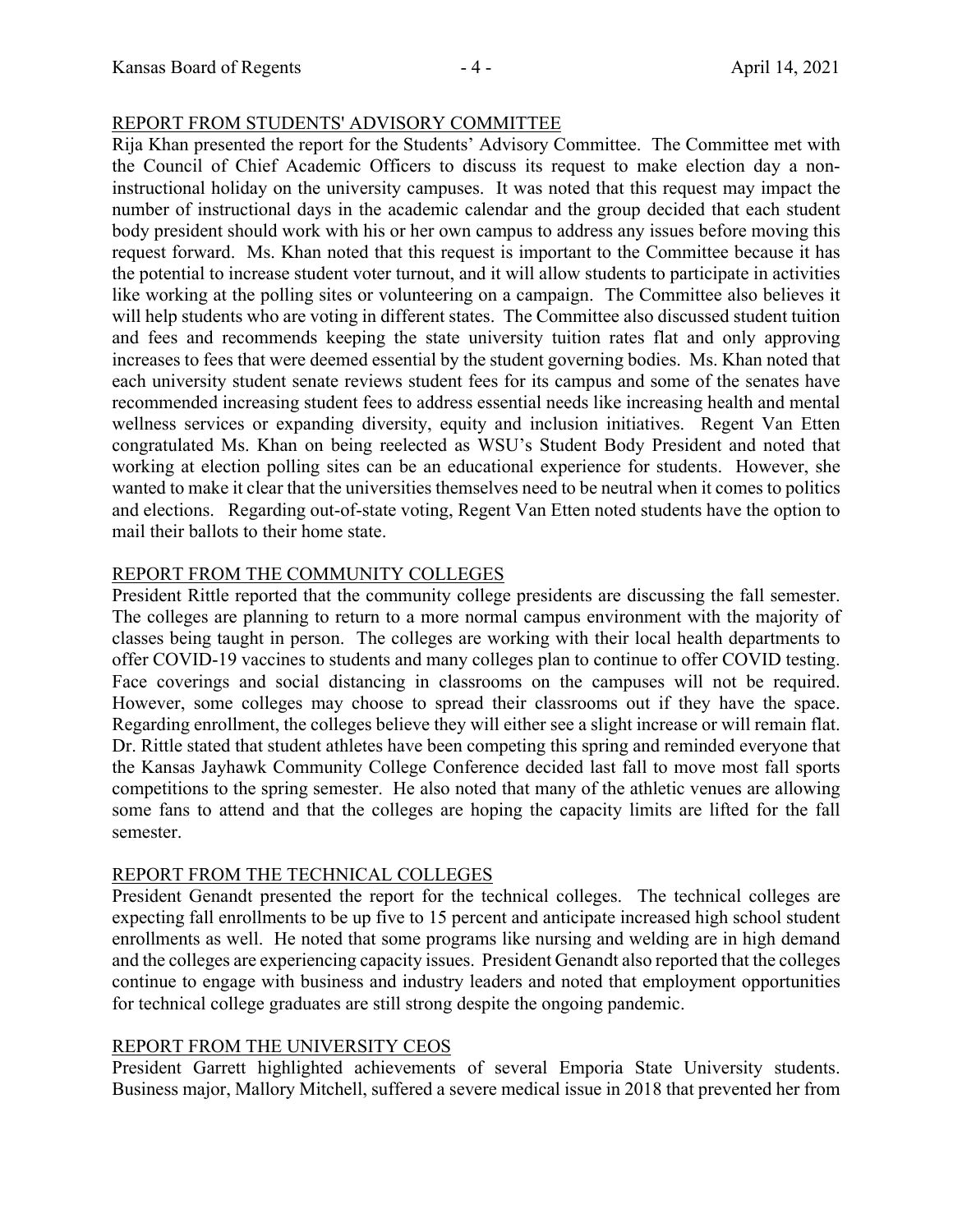## REPORT FROM STUDENTS' ADVISORY COMMITTEE

Rija Khan presented the report for the Students' Advisory Committee. The Committee met with the Council of Chief Academic Officers to discuss its request to make election day a noninstructional holiday on the university campuses. It was noted that this request may impact the number of instructional days in the academic calendar and the group decided that each student body president should work with his or her own campus to address any issues before moving this request forward. Ms. Khan noted that this request is important to the Committee because it has the potential to increase student voter turnout, and it will allow students to participate in activities like working at the polling sites or volunteering on a campaign. The Committee also believes it will help students who are voting in different states. The Committee also discussed student tuition and fees and recommends keeping the state university tuition rates flat and only approving increases to fees that were deemed essential by the student governing bodies. Ms. Khan noted that each university student senate reviews student fees for its campus and some of the senates have recommended increasing student fees to address essential needs like increasing health and mental wellness services or expanding diversity, equity and inclusion initiatives. Regent Van Etten congratulated Ms. Khan on being reelected as WSU's Student Body President and noted that working at election polling sites can be an educational experience for students. However, she wanted to make it clear that the universities themselves need to be neutral when it comes to politics and elections. Regarding out-of-state voting, Regent Van Etten noted students have the option to mail their ballots to their home state.

## REPORT FROM THE COMMUNITY COLLEGES

President Rittle reported that the community college presidents are discussing the fall semester. The colleges are planning to return to a more normal campus environment with the majority of classes being taught in person. The colleges are working with their local health departments to offer COVID-19 vaccines to students and many colleges plan to continue to offer COVID testing. Face coverings and social distancing in classrooms on the campuses will not be required. However, some colleges may choose to spread their classrooms out if they have the space. Regarding enrollment, the colleges believe they will either see a slight increase or will remain flat. Dr. Rittle stated that student athletes have been competing this spring and reminded everyone that the Kansas Jayhawk Community College Conference decided last fall to move most fall sports competitions to the spring semester. He also noted that many of the athletic venues are allowing some fans to attend and that the colleges are hoping the capacity limits are lifted for the fall semester.

## REPORT FROM THE TECHNICAL COLLEGES

President Genandt presented the report for the technical colleges. The technical colleges are expecting fall enrollments to be up five to 15 percent and anticipate increased high school student enrollments as well. He noted that some programs like nursing and welding are in high demand and the colleges are experiencing capacity issues. President Genandt also reported that the colleges continue to engage with business and industry leaders and noted that employment opportunities for technical college graduates are still strong despite the ongoing pandemic.

# REPORT FROM THE UNIVERSITY CEOS

President Garrett highlighted achievements of several Emporia State University students. Business major, Mallory Mitchell, suffered a severe medical issue in 2018 that prevented her from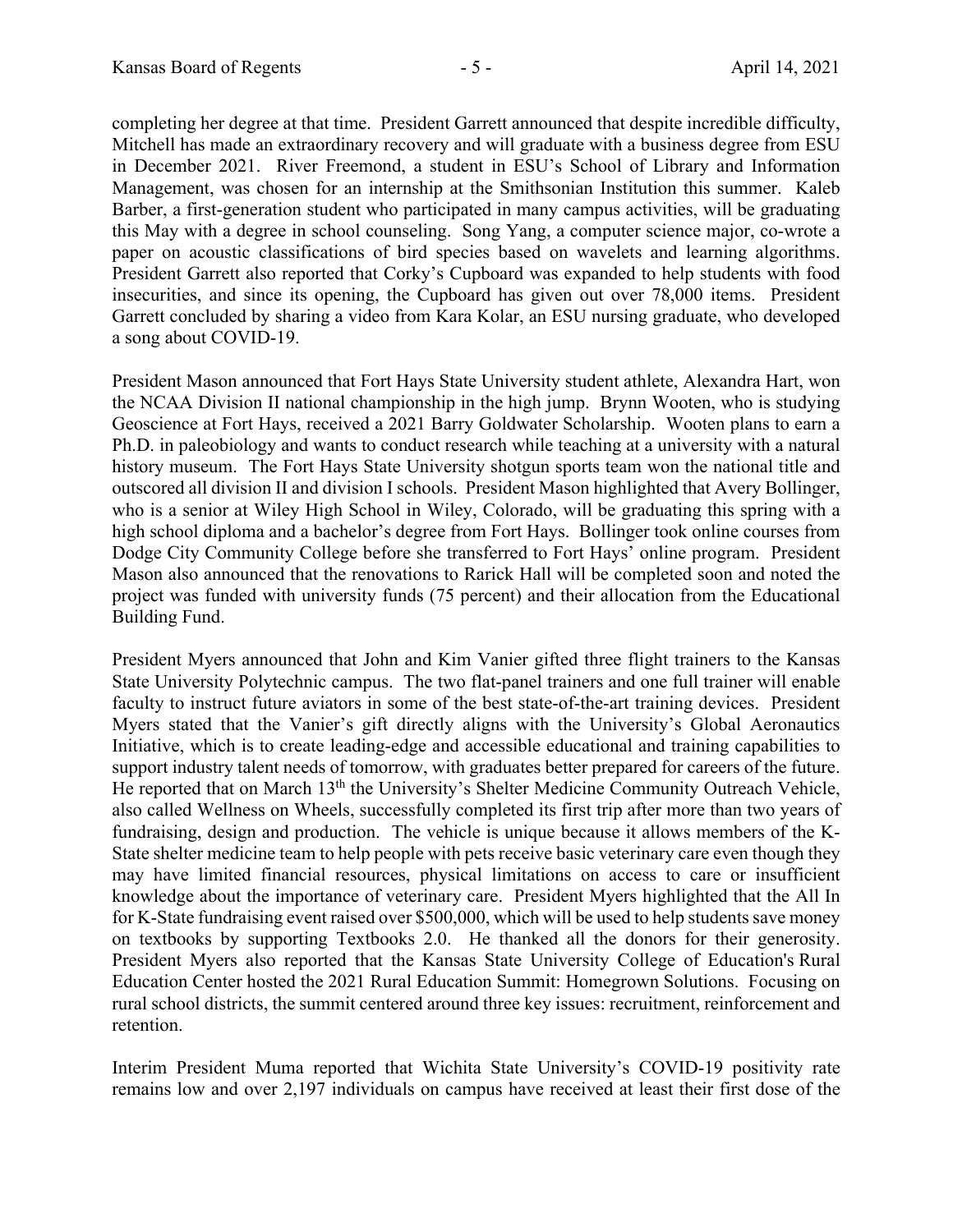completing her degree at that time. President Garrett announced that despite incredible difficulty, Mitchell has made an extraordinary recovery and will graduate with a business degree from ESU in December 2021. River Freemond, a student in ESU's School of Library and Information Management, was chosen for an internship at the Smithsonian Institution this summer. Kaleb Barber, a first-generation student who participated in many campus activities, will be graduating this May with a degree in school counseling. Song Yang, a computer science major, co-wrote a paper on acoustic classifications of bird species based on wavelets and learning algorithms. President Garrett also reported that Corky's Cupboard was expanded to help students with food insecurities, and since its opening, the Cupboard has given out over 78,000 items. President Garrett concluded by sharing a video from Kara Kolar, an ESU nursing graduate, who developed a song about COVID-19.

President Mason announced that Fort Hays State University student athlete, Alexandra Hart, won the NCAA Division II national championship in the high jump. Brynn Wooten, who is studying Geoscience at Fort Hays, received a 2021 Barry Goldwater Scholarship. Wooten plans to earn a Ph.D. in paleobiology and wants to conduct research while teaching at a university with a natural history museum. The Fort Hays State University shotgun sports team won the national title and outscored all division II and division I schools. President Mason highlighted that Avery Bollinger, who is a senior at Wiley High School in Wiley, Colorado, will be graduating this spring with a high school diploma and a bachelor's degree from Fort Hays. Bollinger took online courses from Dodge City Community College before she transferred to Fort Hays' online program. President Mason also announced that the renovations to Rarick Hall will be completed soon and noted the project was funded with university funds (75 percent) and their allocation from the Educational Building Fund.

President Myers announced that John and Kim Vanier gifted three flight trainers to the Kansas State University Polytechnic campus. The two flat-panel trainers and one full trainer will enable faculty to instruct future aviators in some of the best state-of-the-art training devices. President Myers stated that the Vanier's gift directly aligns with the University's Global Aeronautics Initiative, which is to create leading-edge and accessible educational and training capabilities to support industry talent needs of tomorrow, with graduates better prepared for careers of the future. He reported that on March 13<sup>th</sup> the University's Shelter Medicine Community Outreach Vehicle, also called Wellness on Wheels, successfully completed its first trip after more than two years of fundraising, design and production. The vehicle is unique because it allows members of the K-State shelter medicine team to help people with pets receive basic veterinary care even though they may have limited financial resources, physical limitations on access to care or insufficient knowledge about the importance of veterinary care. President Myers highlighted that the All In for K-State fundraising event raised over \$500,000, which will be used to help students save money on textbooks by supporting Textbooks 2.0. He thanked all the donors for their generosity. President Myers also reported that the Kansas State University College of Education's Rural Education Center hosted the 2021 Rural Education Summit: Homegrown Solutions. Focusing on rural school districts, the summit centered around three key issues: recruitment, reinforcement and retention.

Interim President Muma reported that Wichita State University's COVID-19 positivity rate remains low and over 2,197 individuals on campus have received at least their first dose of the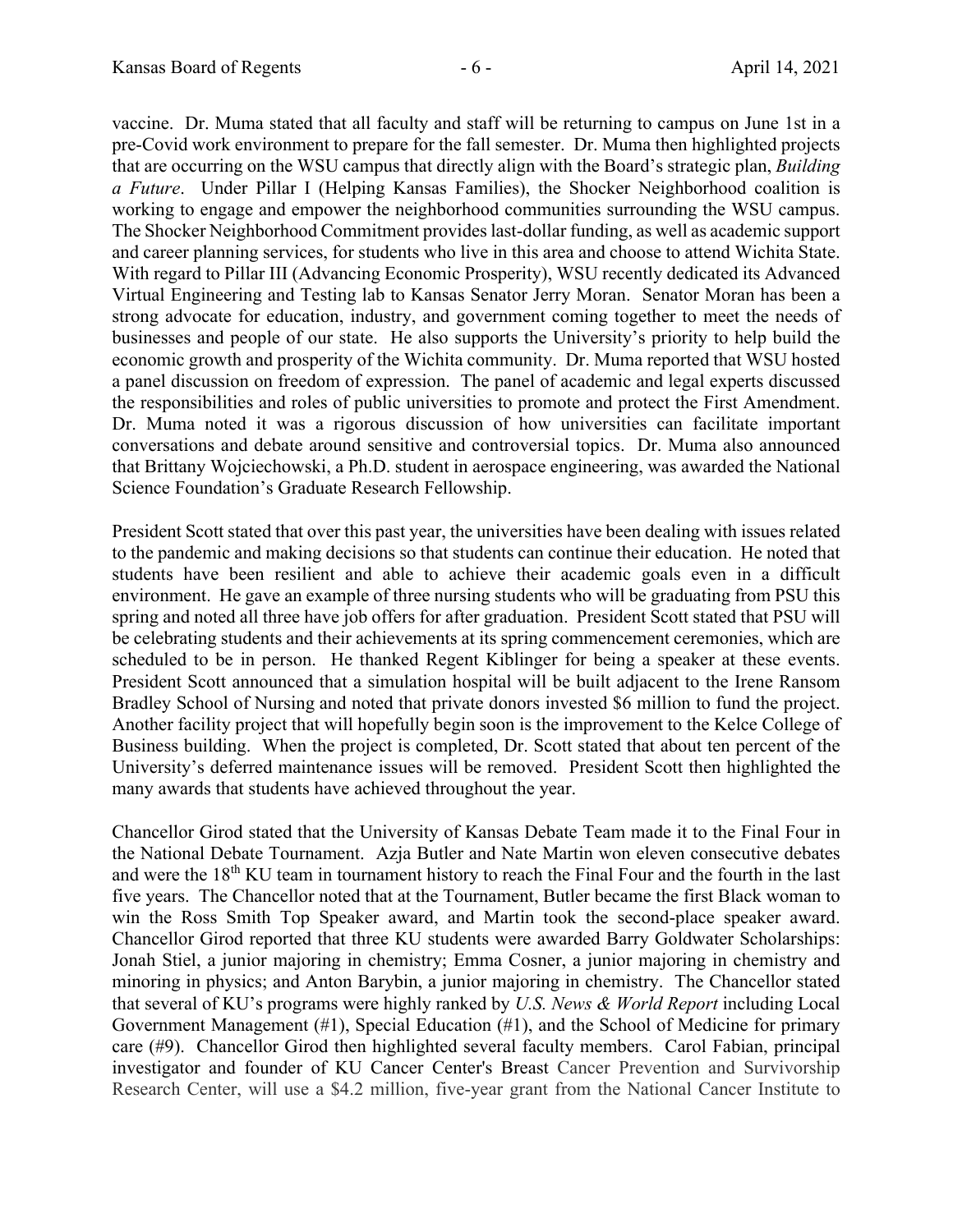vaccine. Dr. Muma stated that all faculty and staff will be returning to campus on June 1st in a pre-Covid work environment to prepare for the fall semester. Dr. Muma then highlighted projects that are occurring on the WSU campus that directly align with the Board's strategic plan, *Building a Future*. Under Pillar I (Helping Kansas Families), the Shocker Neighborhood coalition is working to engage and empower the neighborhood communities surrounding the WSU campus. The Shocker Neighborhood Commitment provides last-dollar funding, as well as academic support and career planning services, for students who live in this area and choose to attend Wichita State. With regard to Pillar III (Advancing Economic Prosperity), WSU recently dedicated its Advanced Virtual Engineering and Testing lab to Kansas Senator Jerry Moran. Senator Moran has been a strong advocate for education, industry, and government coming together to meet the needs of businesses and people of our state. He also supports the University's priority to help build the economic growth and prosperity of the Wichita community. Dr. Muma reported that WSU hosted a panel discussion on freedom of expression. The panel of academic and legal experts discussed the responsibilities and roles of public universities to promote and protect the First Amendment. Dr. Muma noted it was a rigorous discussion of how universities can facilitate important conversations and debate around sensitive and controversial topics. Dr. Muma also announced that Brittany Wojciechowski, a Ph.D. student in aerospace engineering, was awarded the National Science Foundation's Graduate Research Fellowship.

President Scott stated that over this past year, the universities have been dealing with issues related to the pandemic and making decisions so that students can continue their education. He noted that students have been resilient and able to achieve their academic goals even in a difficult environment. He gave an example of three nursing students who will be graduating from PSU this spring and noted all three have job offers for after graduation. President Scott stated that PSU will be celebrating students and their achievements at its spring commencement ceremonies, which are scheduled to be in person. He thanked Regent Kiblinger for being a speaker at these events. President Scott announced that a simulation hospital will be built adjacent to the Irene Ransom Bradley School of Nursing and noted that private donors invested \$6 million to fund the project. Another facility project that will hopefully begin soon is the improvement to the Kelce College of Business building. When the project is completed, Dr. Scott stated that about ten percent of the University's deferred maintenance issues will be removed. President Scott then highlighted the many awards that students have achieved throughout the year.

Chancellor Girod stated that the University of Kansas Debate Team made it to the Final Four in the National Debate Tournament. Azja Butler and Nate Martin won eleven consecutive debates and were the 18<sup>th</sup> KU team in tournament history to reach the Final Four and the fourth in the last five years. The Chancellor noted that at the Tournament, Butler became the first Black woman to win the Ross Smith Top Speaker award, and Martin took the second-place speaker award. Chancellor Girod reported that three KU students were awarded Barry Goldwater Scholarships: Jonah Stiel, a junior majoring in chemistry; Emma Cosner, a junior majoring in chemistry and minoring in physics; and Anton Barybin, a junior majoring in chemistry. The Chancellor stated that several of KU's programs were highly ranked by *U.S. News & World Report* including Local Government Management (#1), Special Education (#1), and the School of Medicine for primary care (#9). Chancellor Girod then highlighted several faculty members. Carol Fabian, principal investigator and founder of KU Cancer Center's Breast Cancer Prevention and Survivorship Research Center, will use a \$4.2 million, five-year grant from the National Cancer Institute to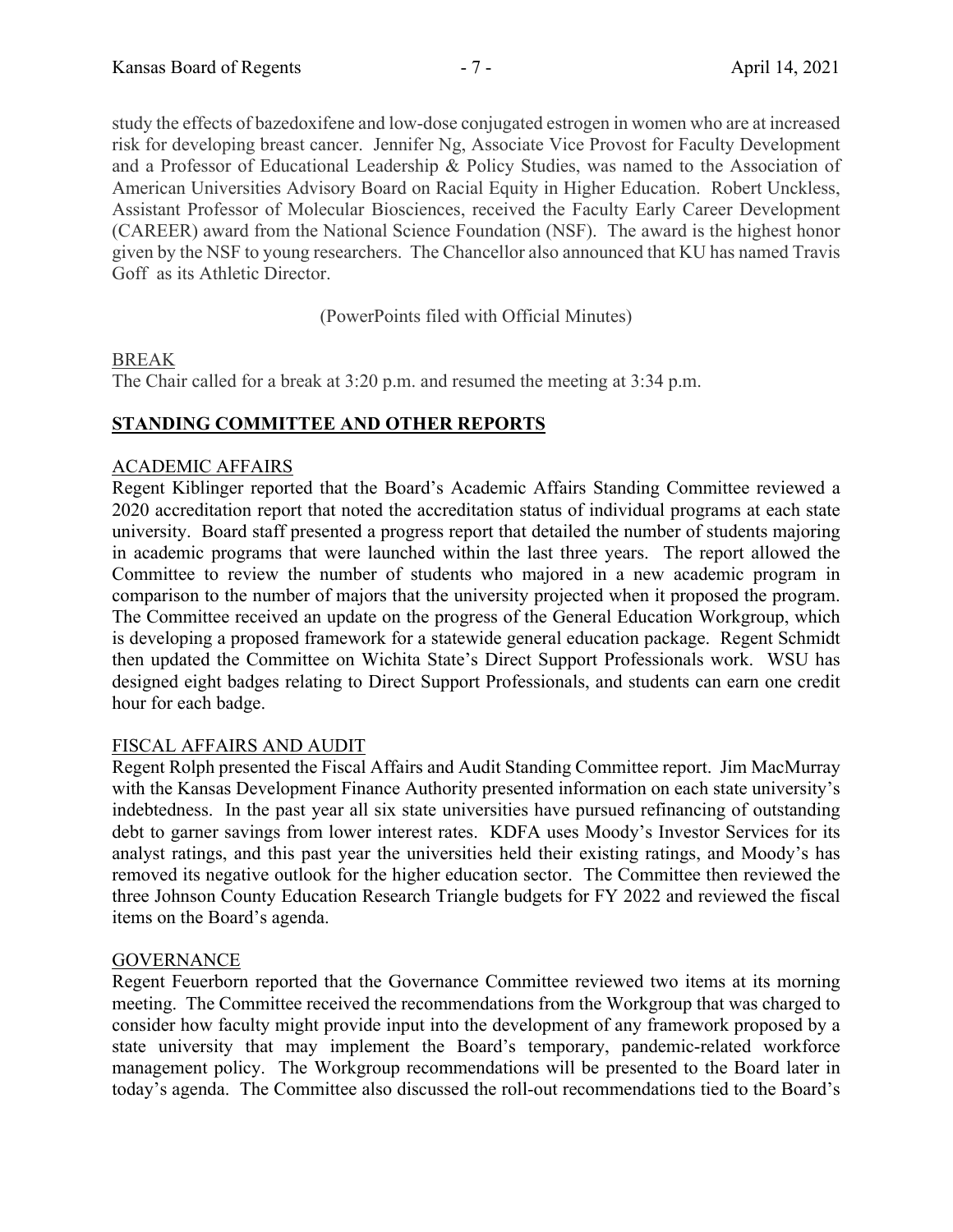study the effects of bazedoxifene and low-dose conjugated estrogen in women who are at increased risk for developing breast cancer. Jennifer Ng, Associate Vice Provost for Faculty Development and a Professor of Educational Leadership & Policy Studies, was named to the Association of American Universities Advisory Board on Racial Equity in Higher Education. Robert Unckless, Assistant Professor of Molecular Biosciences, received the Faculty Early Career Development (CAREER) award from the National Science Foundation (NSF). The award is the highest honor given by the NSF to young researchers. The Chancellor also announced that KU has named Travis Goff as its Athletic Director.

(PowerPoints filed with Official Minutes)

## BREAK

The Chair called for a break at 3:20 p.m. and resumed the meeting at 3:34 p.m.

## **STANDING COMMITTEE AND OTHER REPORTS**

## ACADEMIC AFFAIRS

Regent Kiblinger reported that the Board's Academic Affairs Standing Committee reviewed a 2020 accreditation report that noted the accreditation status of individual programs at each state university. Board staff presented a progress report that detailed the number of students majoring in academic programs that were launched within the last three years. The report allowed the Committee to review the number of students who majored in a new academic program in comparison to the number of majors that the university projected when it proposed the program. The Committee received an update on the progress of the General Education Workgroup, which is developing a proposed framework for a statewide general education package. Regent Schmidt then updated the Committee on Wichita State's Direct Support Professionals work. WSU has designed eight badges relating to Direct Support Professionals, and students can earn one credit hour for each badge.

#### FISCAL AFFAIRS AND AUDIT

Regent Rolph presented the Fiscal Affairs and Audit Standing Committee report. Jim MacMurray with the Kansas Development Finance Authority presented information on each state university's indebtedness. In the past year all six state universities have pursued refinancing of outstanding debt to garner savings from lower interest rates. KDFA uses Moody's Investor Services for its analyst ratings, and this past year the universities held their existing ratings, and Moody's has removed its negative outlook for the higher education sector. The Committee then reviewed the three Johnson County Education Research Triangle budgets for FY 2022 and reviewed the fiscal items on the Board's agenda.

#### **GOVERNANCE**

Regent Feuerborn reported that the Governance Committee reviewed two items at its morning meeting. The Committee received the recommendations from the Workgroup that was charged to consider how faculty might provide input into the development of any framework proposed by a state university that may implement the Board's temporary, pandemic-related workforce management policy. The Workgroup recommendations will be presented to the Board later in today's agenda. The Committee also discussed the roll-out recommendations tied to the Board's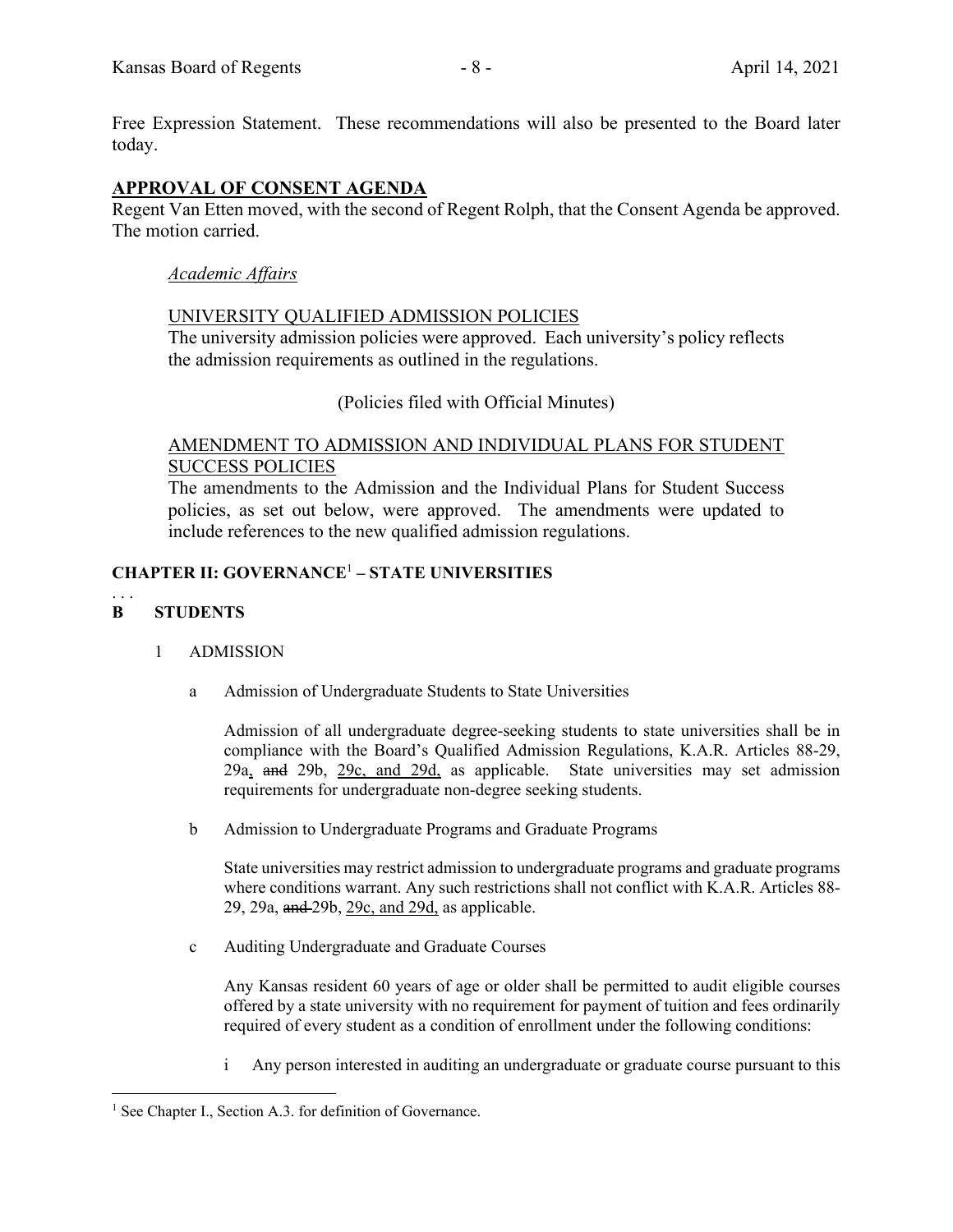Free Expression Statement. These recommendations will also be presented to the Board later today.

## **APPROVAL OF CONSENT AGENDA**

Regent Van Etten moved, with the second of Regent Rolph, that the Consent Agenda be approved. The motion carried.

#### *Academic Affairs*

#### UNIVERSITY QUALIFIED ADMISSION POLICIES

The university admission policies were approved. Each university's policy reflects the admission requirements as outlined in the regulations.

## (Policies filed with Official Minutes)

#### AMENDMENT TO ADMISSION AND INDIVIDUAL PLANS FOR STUDENT SUCCESS POLICIES

The amendments to the Admission and the Individual Plans for Student Success policies, as set out below, were approved. The amendments were updated to include references to the new qualified admission regulations.

## **CHAPTER II: GOVERNANCE**<sup>1</sup>  **– STATE UNIVERSITIES**

#### . . . **B STUDENTS**

#### 1 ADMISSION

a Admission of Undergraduate Students to State Universities

Admission of all undergraduate degree-seeking students to state universities shall be in compliance with the Board's Qualified Admission Regulations, K.A.R. Articles 88-29, 29a, and 29b, 29c, and 29d, as applicable. State universities may set admission requirements for undergraduate non-degree seeking students.

b Admission to Undergraduate Programs and Graduate Programs

State universities may restrict admission to undergraduate programs and graduate programs where conditions warrant. Any such restrictions shall not conflict with K.A.R. Articles 88- 29, 29a, and 29b, 29c, and 29d, as applicable.

c Auditing Undergraduate and Graduate Courses

Any Kansas resident 60 years of age or older shall be permitted to audit eligible courses offered by a state university with no requirement for payment of tuition and fees ordinarily required of every student as a condition of enrollment under the following conditions:

i Any person interested in auditing an undergraduate or graduate course pursuant to this

<sup>&</sup>lt;sup>1</sup> See Chapter I., Section A.3. for definition of Governance.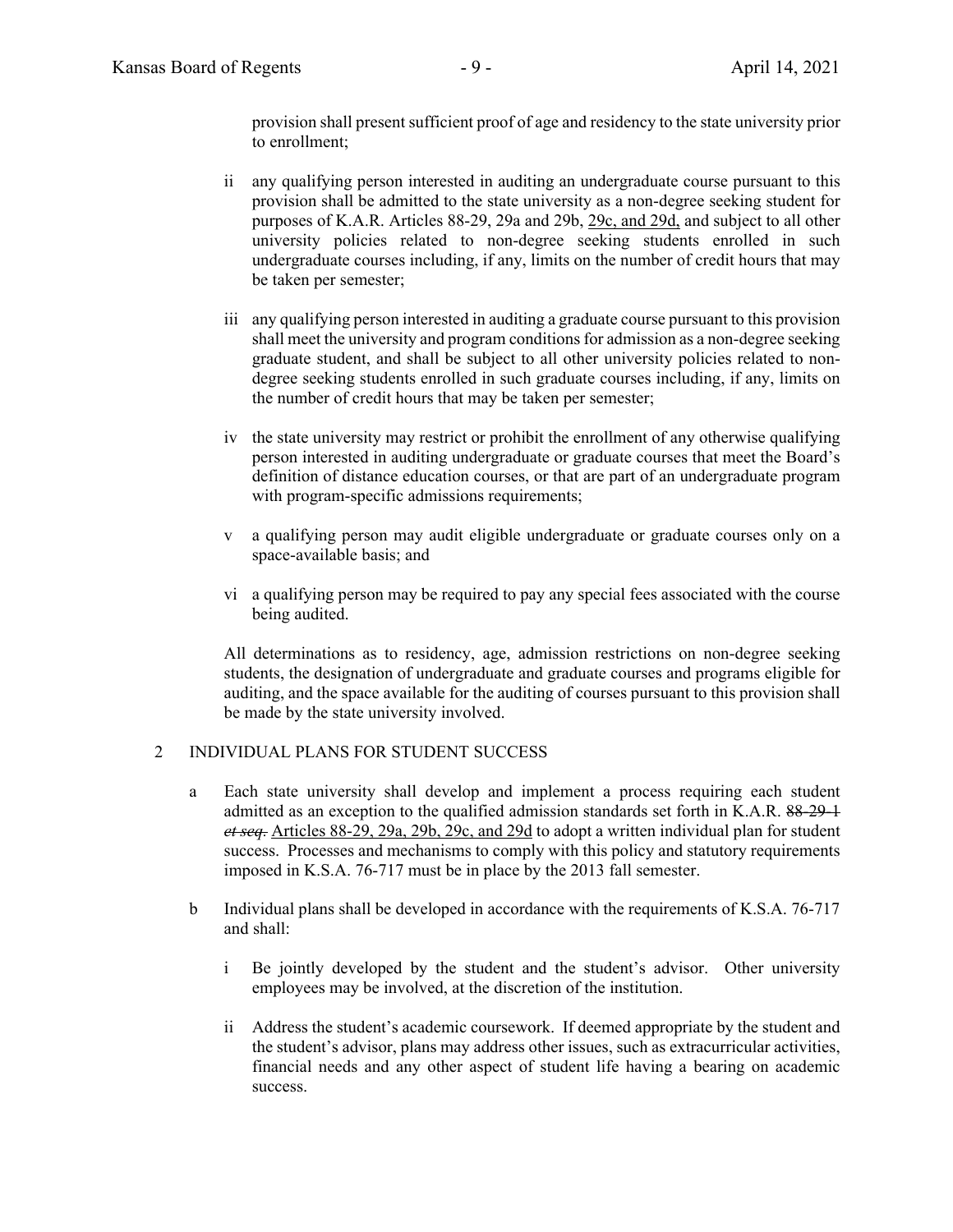provision shall present sufficient proof of age and residency to the state university prior to enrollment;

- ii any qualifying person interested in auditing an undergraduate course pursuant to this provision shall be admitted to the state university as a non-degree seeking student for purposes of K.A.R. Articles 88-29, 29a and 29b, 29c, and 29d, and subject to all other university policies related to non-degree seeking students enrolled in such undergraduate courses including, if any, limits on the number of credit hours that may be taken per semester;
- iii any qualifying person interested in auditing a graduate course pursuant to this provision shall meet the university and program conditions for admission as a non-degree seeking graduate student, and shall be subject to all other university policies related to nondegree seeking students enrolled in such graduate courses including, if any, limits on the number of credit hours that may be taken per semester;
- iv the state university may restrict or prohibit the enrollment of any otherwise qualifying person interested in auditing undergraduate or graduate courses that meet the Board's definition of distance education courses, or that are part of an undergraduate program with program-specific admissions requirements;
- v a qualifying person may audit eligible undergraduate or graduate courses only on a space-available basis; and
- vi a qualifying person may be required to pay any special fees associated with the course being audited.

All determinations as to residency, age, admission restrictions on non-degree seeking students, the designation of undergraduate and graduate courses and programs eligible for auditing, and the space available for the auditing of courses pursuant to this provision shall be made by the state university involved.

#### 2 INDIVIDUAL PLANS FOR STUDENT SUCCESS

- a Each state university shall develop and implement a process requiring each student admitted as an exception to the qualified admission standards set forth in K.A.R. 88-29-1 *et seq.* Articles 88-29, 29a, 29b, 29c, and 29d to adopt a written individual plan for student success. Processes and mechanisms to comply with this policy and statutory requirements imposed in K.S.A. 76-717 must be in place by the 2013 fall semester.
- b Individual plans shall be developed in accordance with the requirements of K.S.A. 76-717 and shall:
	- i Be jointly developed by the student and the student's advisor. Other university employees may be involved, at the discretion of the institution.
	- ii Address the student's academic coursework. If deemed appropriate by the student and the student's advisor, plans may address other issues, such as extracurricular activities, financial needs and any other aspect of student life having a bearing on academic success.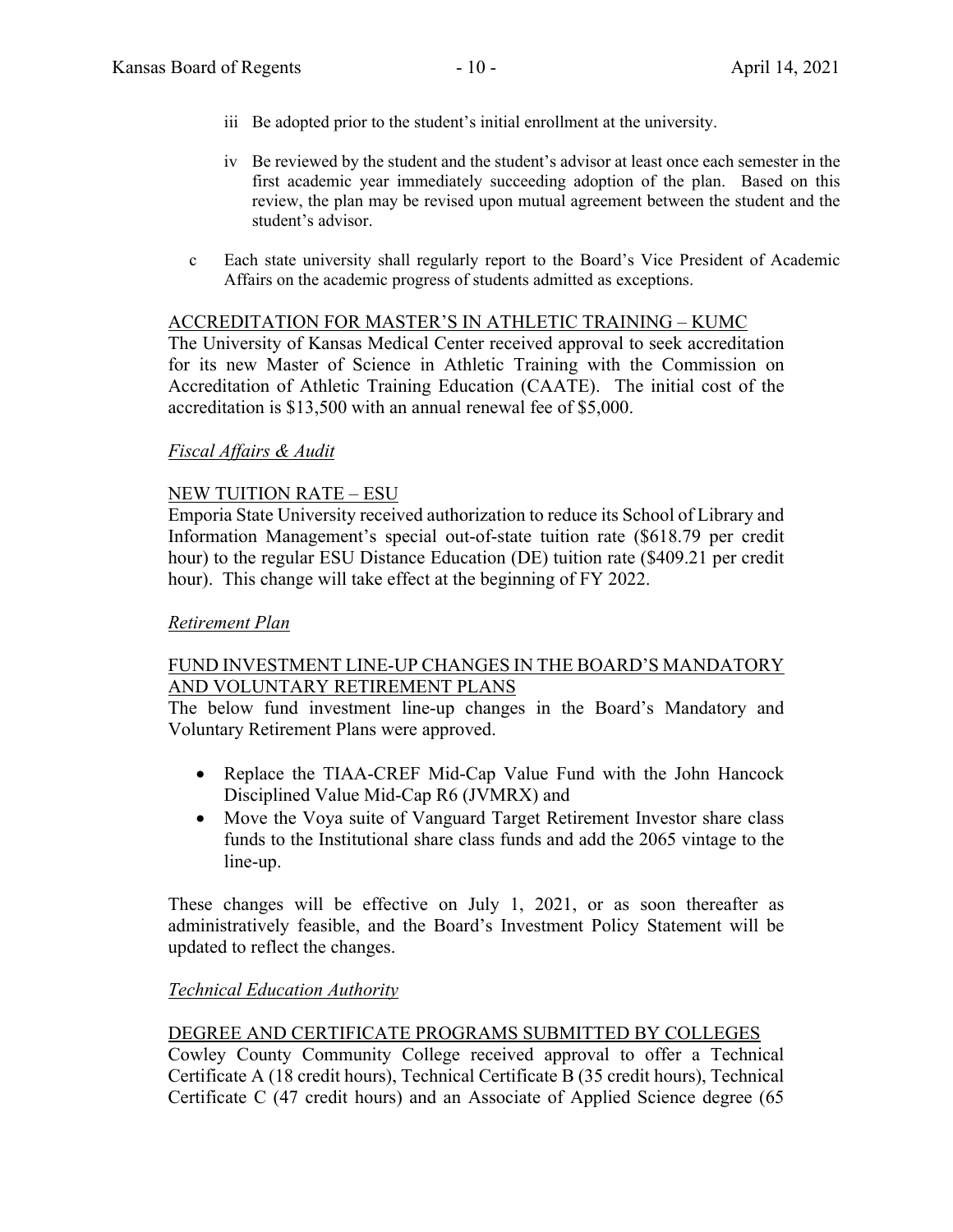- iii Be adopted prior to the student's initial enrollment at the university.
- iv Be reviewed by the student and the student's advisor at least once each semester in the first academic year immediately succeeding adoption of the plan. Based on this review, the plan may be revised upon mutual agreement between the student and the student's advisor.
- c Each state university shall regularly report to the Board's Vice President of Academic Affairs on the academic progress of students admitted as exceptions.

#### ACCREDITATION FOR MASTER'S IN ATHLETIC TRAINING – KUMC

The University of Kansas Medical Center received approval to seek accreditation for its new Master of Science in Athletic Training with the Commission on Accreditation of Athletic Training Education (CAATE). The initial cost of the accreditation is \$13,500 with an annual renewal fee of \$5,000.

## *Fiscal Affairs & Audit*

## NEW TUITION RATE – ESU

Emporia State University received authorization to reduce its School of Library and Information Management's special out-of-state tuition rate (\$618.79 per credit hour) to the regular ESU Distance Education (DE) tuition rate (\$409.21 per credit hour). This change will take effect at the beginning of FY 2022.

#### *Retirement Plan*

## FUND INVESTMENT LINE-UP CHANGES IN THE BOARD'S MANDATORY AND VOLUNTARY RETIREMENT PLANS

The below fund investment line-up changes in the Board's Mandatory and Voluntary Retirement Plans were approved.

- Replace the TIAA-CREF Mid-Cap Value Fund with the John Hancock Disciplined Value Mid-Cap R6 (JVMRX) and
- Move the Voya suite of Vanguard Target Retirement Investor share class funds to the Institutional share class funds and add the 2065 vintage to the line-up.

These changes will be effective on July 1, 2021, or as soon thereafter as administratively feasible, and the Board's Investment Policy Statement will be updated to reflect the changes.

#### *Technical Education Authority*

## DEGREE AND CERTIFICATE PROGRAMS SUBMITTED BY COLLEGES

Cowley County Community College received approval to offer a Technical Certificate A (18 credit hours), Technical Certificate B (35 credit hours), Technical Certificate C (47 credit hours) and an Associate of Applied Science degree (65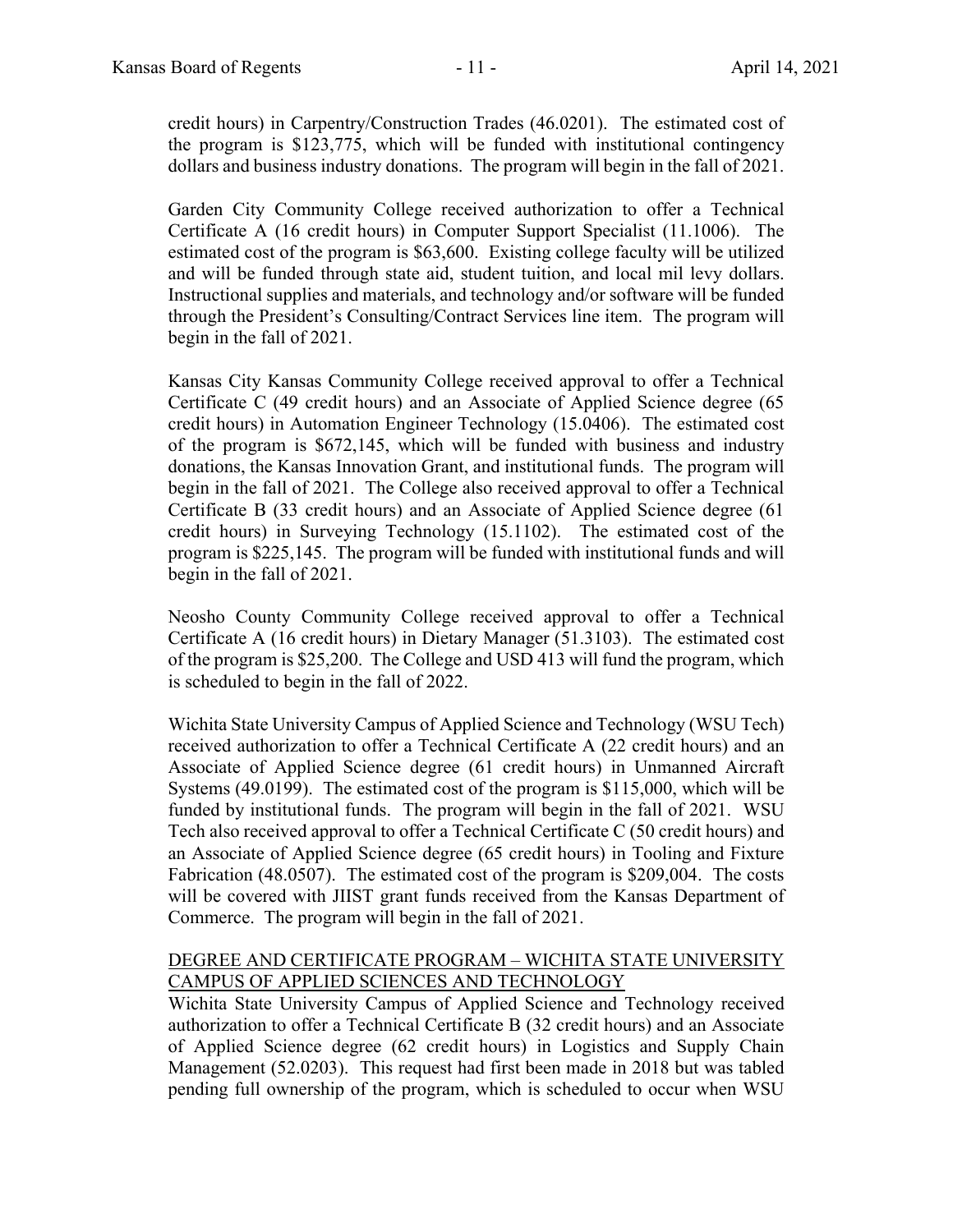credit hours) in Carpentry/Construction Trades (46.0201). The estimated cost of the program is \$123,775, which will be funded with institutional contingency dollars and business industry donations. The program will begin in the fall of 2021.

Garden City Community College received authorization to offer a Technical Certificate A (16 credit hours) in Computer Support Specialist (11.1006). The estimated cost of the program is \$63,600. Existing college faculty will be utilized and will be funded through state aid, student tuition, and local mil levy dollars. Instructional supplies and materials, and technology and/or software will be funded through the President's Consulting/Contract Services line item. The program will begin in the fall of 2021.

Kansas City Kansas Community College received approval to offer a Technical Certificate C (49 credit hours) and an Associate of Applied Science degree (65 credit hours) in Automation Engineer Technology (15.0406). The estimated cost of the program is \$672,145, which will be funded with business and industry donations, the Kansas Innovation Grant, and institutional funds. The program will begin in the fall of 2021. The College also received approval to offer a Technical Certificate B (33 credit hours) and an Associate of Applied Science degree (61 credit hours) in Surveying Technology (15.1102). The estimated cost of the program is \$225,145. The program will be funded with institutional funds and will begin in the fall of 2021.

Neosho County Community College received approval to offer a Technical Certificate A (16 credit hours) in Dietary Manager (51.3103). The estimated cost of the program is \$25,200. The College and USD 413 will fund the program, which is scheduled to begin in the fall of 2022.

Wichita State University Campus of Applied Science and Technology (WSU Tech) received authorization to offer a Technical Certificate A (22 credit hours) and an Associate of Applied Science degree (61 credit hours) in Unmanned Aircraft Systems (49.0199). The estimated cost of the program is \$115,000, which will be funded by institutional funds. The program will begin in the fall of 2021. WSU Tech also received approval to offer a Technical Certificate C (50 credit hours) and an Associate of Applied Science degree (65 credit hours) in Tooling and Fixture Fabrication (48.0507). The estimated cost of the program is \$209,004. The costs will be covered with JIIST grant funds received from the Kansas Department of Commerce. The program will begin in the fall of 2021.

## DEGREE AND CERTIFICATE PROGRAM – WICHITA STATE UNIVERSITY CAMPUS OF APPLIED SCIENCES AND TECHNOLOGY

Wichita State University Campus of Applied Science and Technology received authorization to offer a Technical Certificate B (32 credit hours) and an Associate of Applied Science degree (62 credit hours) in Logistics and Supply Chain Management (52.0203). This request had first been made in 2018 but was tabled pending full ownership of the program, which is scheduled to occur when WSU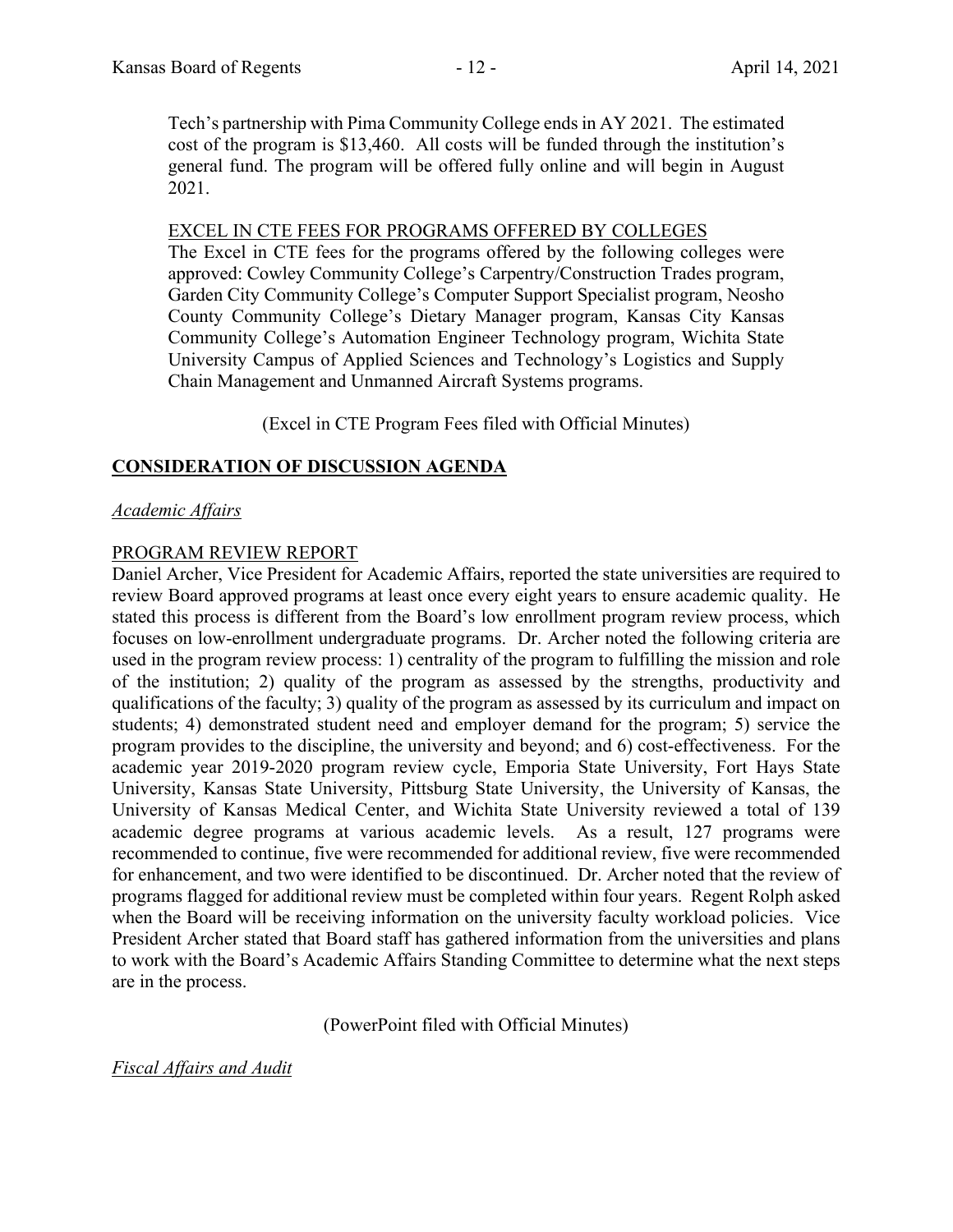Tech's partnership with Pima Community College ends in AY 2021. The estimated cost of the program is \$13,460. All costs will be funded through the institution's general fund. The program will be offered fully online and will begin in August 2021.

## EXCEL IN CTE FEES FOR PROGRAMS OFFERED BY COLLEGES

The Excel in CTE fees for the programs offered by the following colleges were approved: Cowley Community College's Carpentry/Construction Trades program, Garden City Community College's Computer Support Specialist program, Neosho County Community College's Dietary Manager program, Kansas City Kansas Community College's Automation Engineer Technology program, Wichita State University Campus of Applied Sciences and Technology's Logistics and Supply Chain Management and Unmanned Aircraft Systems programs.

(Excel in CTE Program Fees filed with Official Minutes)

## **CONSIDERATION OF DISCUSSION AGENDA**

## *Academic Affairs*

## PROGRAM REVIEW REPORT

Daniel Archer, Vice President for Academic Affairs, reported the state universities are required to review Board approved programs at least once every eight years to ensure academic quality. He stated this process is different from the Board's low enrollment program review process, which focuses on low-enrollment undergraduate programs. Dr. Archer noted the following criteria are used in the program review process: 1) centrality of the program to fulfilling the mission and role of the institution; 2) quality of the program as assessed by the strengths, productivity and qualifications of the faculty; 3) quality of the program as assessed by its curriculum and impact on students; 4) demonstrated student need and employer demand for the program; 5) service the program provides to the discipline, the university and beyond; and 6) cost-effectiveness. For the academic year 2019-2020 program review cycle, Emporia State University, Fort Hays State University, Kansas State University, Pittsburg State University, the University of Kansas, the University of Kansas Medical Center, and Wichita State University reviewed a total of 139 academic degree programs at various academic levels. As a result, 127 programs were recommended to continue, five were recommended for additional review, five were recommended for enhancement, and two were identified to be discontinued. Dr. Archer noted that the review of programs flagged for additional review must be completed within four years. Regent Rolph asked when the Board will be receiving information on the university faculty workload policies. Vice President Archer stated that Board staff has gathered information from the universities and plans to work with the Board's Academic Affairs Standing Committee to determine what the next steps are in the process.

(PowerPoint filed with Official Minutes)

## *Fiscal Affairs and Audit*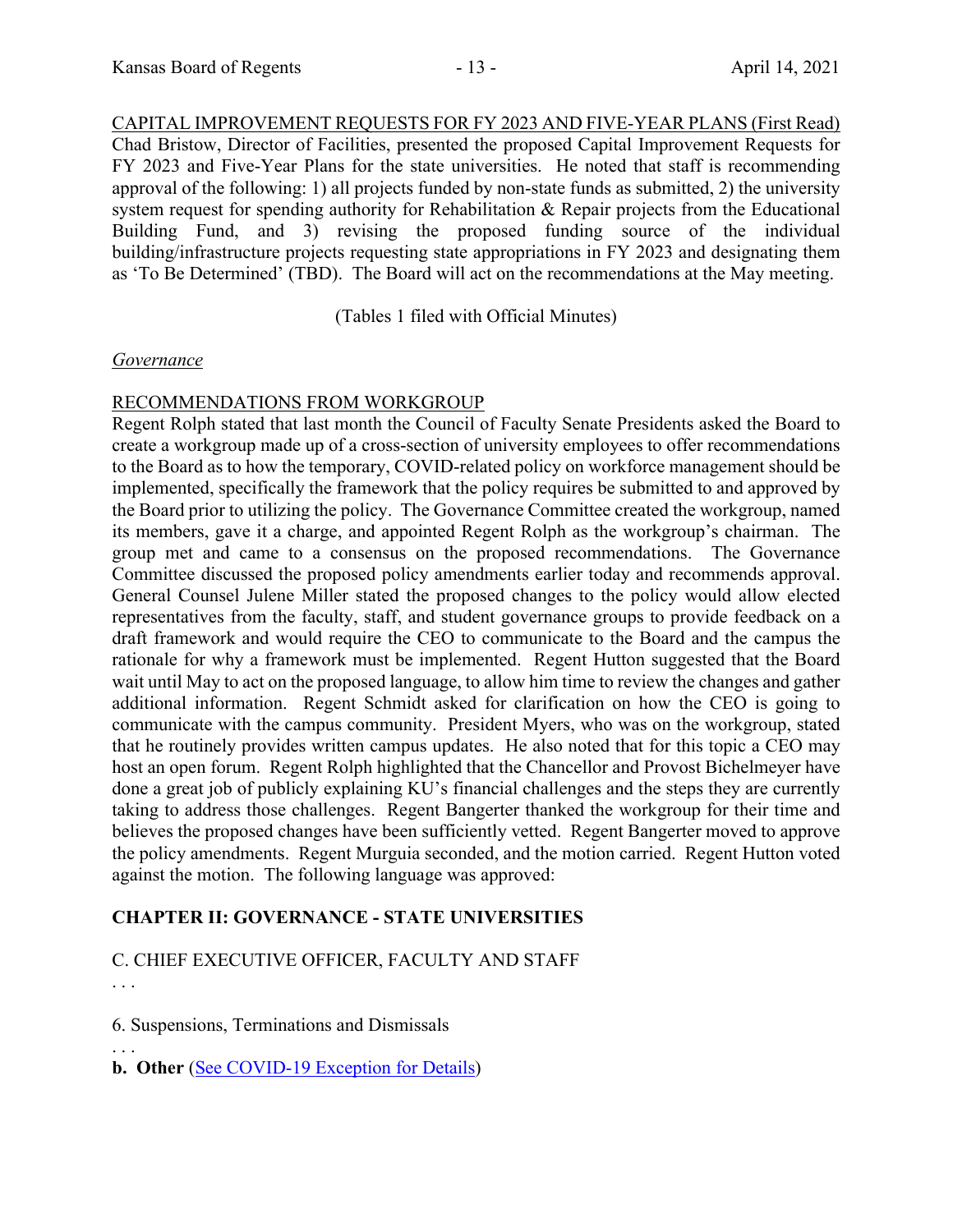CAPITAL IMPROVEMENT REQUESTS FOR FY 2023 AND FIVE-YEAR PLANS (First Read) Chad Bristow, Director of Facilities, presented the proposed Capital Improvement Requests for FY 2023 and Five-Year Plans for the state universities. He noted that staff is recommending approval of the following: 1) all projects funded by non-state funds as submitted, 2) the university system request for spending authority for Rehabilitation & Repair projects from the Educational Building Fund, and 3) revising the proposed funding source of the individual building/infrastructure projects requesting state appropriations in FY 2023 and designating them as 'To Be Determined' (TBD). The Board will act on the recommendations at the May meeting.

(Tables 1 filed with Official Minutes)

## *Governance*

## RECOMMENDATIONS FROM WORKGROUP

Regent Rolph stated that last month the Council of Faculty Senate Presidents asked the Board to create a workgroup made up of a cross-section of university employees to offer recommendations to the Board as to how the temporary, COVID-related policy on workforce management should be implemented, specifically the framework that the policy requires be submitted to and approved by the Board prior to utilizing the policy. The Governance Committee created the workgroup, named its members, gave it a charge, and appointed Regent Rolph as the workgroup's chairman. The group met and came to a consensus on the proposed recommendations. The Governance Committee discussed the proposed policy amendments earlier today and recommends approval. General Counsel Julene Miller stated the proposed changes to the policy would allow elected representatives from the faculty, staff, and student governance groups to provide feedback on a draft framework and would require the CEO to communicate to the Board and the campus the rationale for why a framework must be implemented. Regent Hutton suggested that the Board wait until May to act on the proposed language, to allow him time to review the changes and gather additional information. Regent Schmidt asked for clarification on how the CEO is going to communicate with the campus community. President Myers, who was on the workgroup, stated that he routinely provides written campus updates. He also noted that for this topic a CEO may host an open forum. Regent Rolph highlighted that the Chancellor and Provost Bichelmeyer have done a great job of publicly explaining KU's financial challenges and the steps they are currently taking to address those challenges. Regent Bangerter thanked the workgroup for their time and believes the proposed changes have been sufficiently vetted. Regent Bangerter moved to approve the policy amendments. Regent Murguia seconded, and the motion carried. Regent Hutton voted against the motion. The following language was approved:

## **CHAPTER II: GOVERNANCE - STATE UNIVERSITIES**

## C. CHIEF EXECUTIVE OFFICER, FACULTY AND STAFF . . .

6. Suspensions, Terminations and Dismissals

. . . **b. Other** *(See COVID-19 Exception for Details)*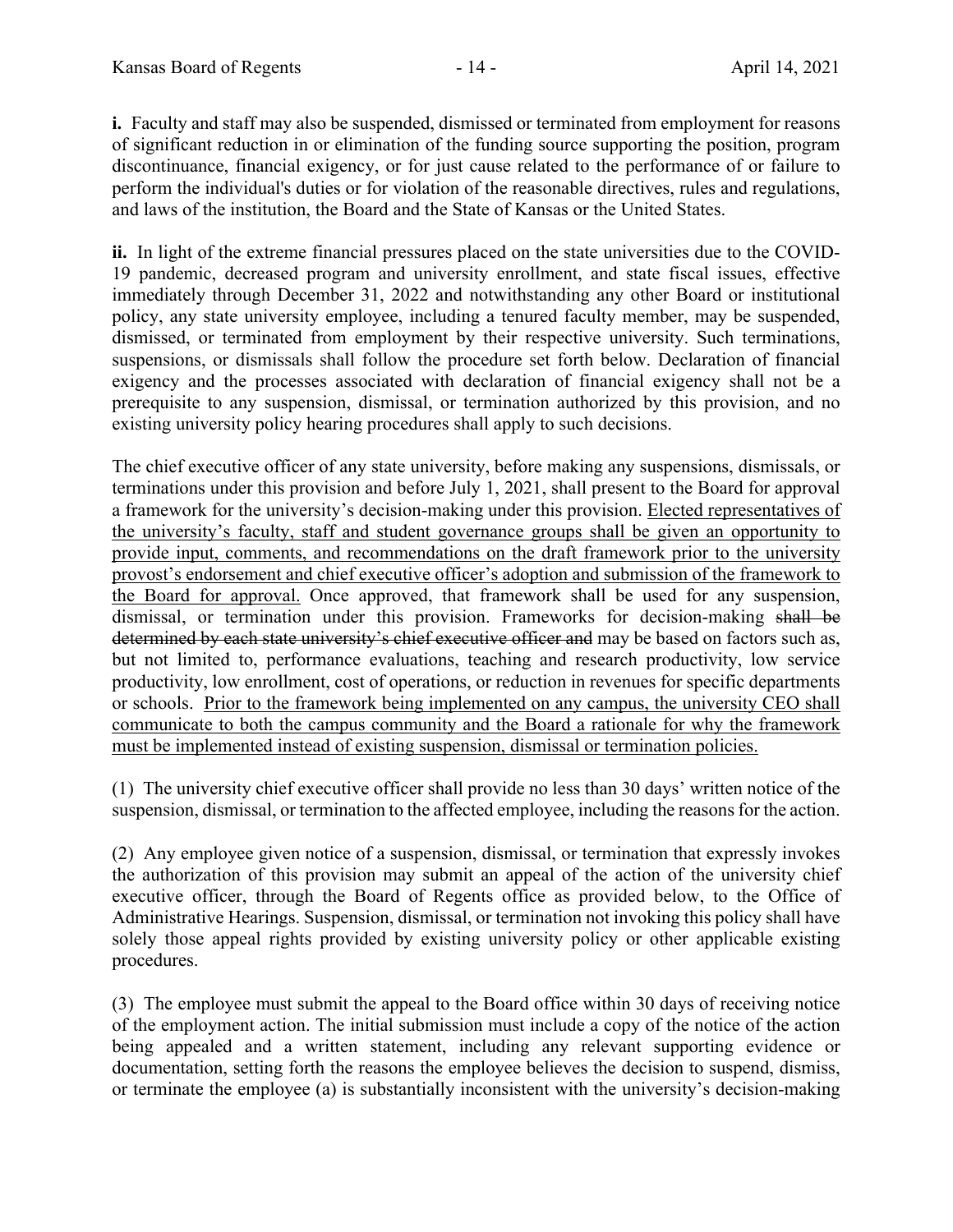**i.** Faculty and staff may also be suspended, dismissed or terminated from employment for reasons of significant reduction in or elimination of the funding source supporting the position, program discontinuance, financial exigency, or for just cause related to the performance of or failure to perform the individual's duties or for violation of the reasonable directives, rules and regulations, and laws of the institution, the Board and the State of Kansas or the United States.

**ii.** In light of the extreme financial pressures placed on the state universities due to the COVID-19 pandemic, decreased program and university enrollment, and state fiscal issues, effective immediately through December 31, 2022 and notwithstanding any other Board or institutional policy, any state university employee, including a tenured faculty member, may be suspended, dismissed, or terminated from employment by their respective university. Such terminations, suspensions, or dismissals shall follow the procedure set forth below. Declaration of financial exigency and the processes associated with declaration of financial exigency shall not be a prerequisite to any suspension, dismissal, or termination authorized by this provision, and no existing university policy hearing procedures shall apply to such decisions.

The chief executive officer of any state university, before making any suspensions, dismissals, or terminations under this provision and before July 1, 2021, shall present to the Board for approval a framework for the university's decision-making under this provision. Elected representatives of the university's faculty, staff and student governance groups shall be given an opportunity to provide input, comments, and recommendations on the draft framework prior to the university provost's endorsement and chief executive officer's adoption and submission of the framework to the Board for approval. Once approved, that framework shall be used for any suspension, dismissal, or termination under this provision. Frameworks for decision-making shall be determined by each state university's chief executive officer and may be based on factors such as, but not limited to, performance evaluations, teaching and research productivity, low service productivity, low enrollment, cost of operations, or reduction in revenues for specific departments or schools. Prior to the framework being implemented on any campus, the university CEO shall communicate to both the campus community and the Board a rationale for why the framework must be implemented instead of existing suspension, dismissal or termination policies.

(1) The university chief executive officer shall provide no less than 30 days' written notice of the suspension, dismissal, or termination to the affected employee, including the reasons for the action.

(2) Any employee given notice of a suspension, dismissal, or termination that expressly invokes the authorization of this provision may submit an appeal of the action of the university chief executive officer, through the Board of Regents office as provided below, to the Office of Administrative Hearings. Suspension, dismissal, or termination not invoking this policy shall have solely those appeal rights provided by existing university policy or other applicable existing procedures.

(3) The employee must submit the appeal to the Board office within 30 days of receiving notice of the employment action. The initial submission must include a copy of the notice of the action being appealed and a written statement, including any relevant supporting evidence or documentation, setting forth the reasons the employee believes the decision to suspend, dismiss, or terminate the employee (a) is substantially inconsistent with the university's decision-making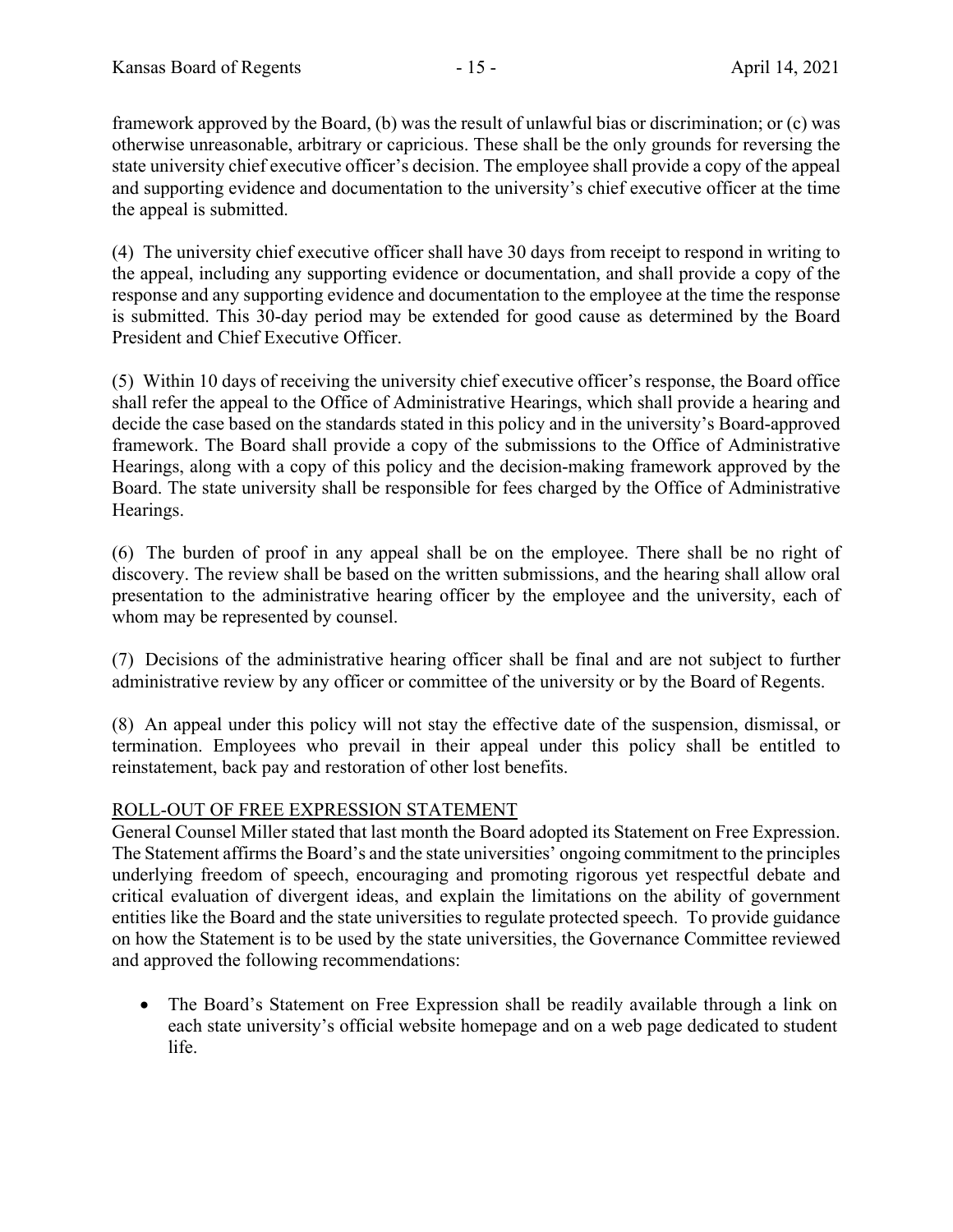framework approved by the Board, (b) was the result of unlawful bias or discrimination; or (c) was otherwise unreasonable, arbitrary or capricious. These shall be the only grounds for reversing the state university chief executive officer's decision. The employee shall provide a copy of the appeal and supporting evidence and documentation to the university's chief executive officer at the time the appeal is submitted.

(4) The university chief executive officer shall have 30 days from receipt to respond in writing to the appeal, including any supporting evidence or documentation, and shall provide a copy of the response and any supporting evidence and documentation to the employee at the time the response is submitted. This 30-day period may be extended for good cause as determined by the Board President and Chief Executive Officer.

(5) Within 10 days of receiving the university chief executive officer's response, the Board office shall refer the appeal to the Office of Administrative Hearings, which shall provide a hearing and decide the case based on the standards stated in this policy and in the university's Board-approved framework. The Board shall provide a copy of the submissions to the Office of Administrative Hearings, along with a copy of this policy and the decision-making framework approved by the Board. The state university shall be responsible for fees charged by the Office of Administrative Hearings.

(6) The burden of proof in any appeal shall be on the employee. There shall be no right of discovery. The review shall be based on the written submissions, and the hearing shall allow oral presentation to the administrative hearing officer by the employee and the university, each of whom may be represented by counsel.

(7) Decisions of the administrative hearing officer shall be final and are not subject to further administrative review by any officer or committee of the university or by the Board of Regents.

(8) An appeal under this policy will not stay the effective date of the suspension, dismissal, or termination. Employees who prevail in their appeal under this policy shall be entitled to reinstatement, back pay and restoration of other lost benefits.

# ROLL-OUT OF FREE EXPRESSION STATEMENT

General Counsel Miller stated that last month the Board adopted its Statement on Free Expression. The Statement affirms the Board's and the state universities' ongoing commitment to the principles underlying freedom of speech, encouraging and promoting rigorous yet respectful debate and critical evaluation of divergent ideas, and explain the limitations on the ability of government entities like the Board and the state universities to regulate protected speech. To provide guidance on how the Statement is to be used by the state universities, the Governance Committee reviewed and approved the following recommendations:

• The Board's Statement on Free Expression shall be readily available through a link on each state university's official website homepage and on a web page dedicated to student life.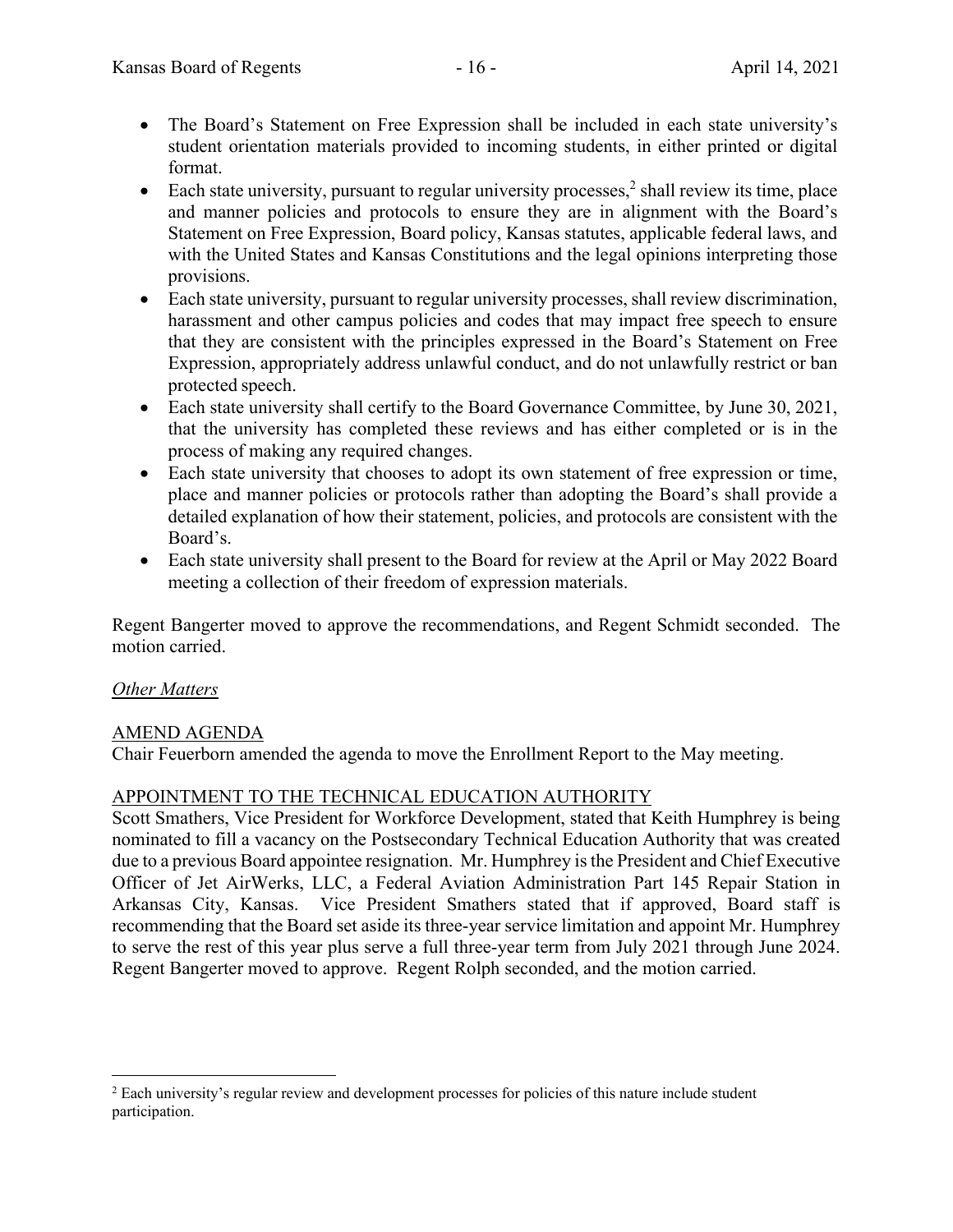- The Board's Statement on Free Expression shall be included in each state university's student orientation materials provided to incoming students, in either printed or digital format.
- Each state university, pursuant to regular university processes,<sup>2</sup> shall review its time, place and manner policies and protocols to ensure they are in alignment with the Board's Statement on Free Expression, Board policy, Kansas statutes, applicable federal laws, and with the United States and Kansas Constitutions and the legal opinions interpreting those provisions.
- Each state university, pursuant to regular university processes, shall review discrimination, harassment and other campus policies and codes that may impact free speech to ensure that they are consistent with the principles expressed in the Board's Statement on Free Expression, appropriately address unlawful conduct, and do not unlawfully restrict or ban protected speech.
- Each state university shall certify to the Board Governance Committee, by June 30, 2021, that the university has completed these reviews and has either completed or is in the process of making any required changes.
- Each state university that chooses to adopt its own statement of free expression or time, place and manner policies or protocols rather than adopting the Board's shall provide a detailed explanation of how their statement, policies, and protocols are consistent with the Board's.
- Each state university shall present to the Board for review at the April or May 2022 Board meeting a collection of their freedom of expression materials.

Regent Bangerter moved to approve the recommendations, and Regent Schmidt seconded. The motion carried.

## *Other Matters*

## AMEND AGENDA

Chair Feuerborn amended the agenda to move the Enrollment Report to the May meeting.

# APPOINTMENT TO THE TECHNICAL EDUCATION AUTHORITY

Scott Smathers, Vice President for Workforce Development, stated that Keith Humphrey is being nominated to fill a vacancy on the Postsecondary Technical Education Authority that was created due to a previous Board appointee resignation. Mr. Humphrey is the President and Chief Executive Officer of Jet AirWerks, LLC, a Federal Aviation Administration Part 145 Repair Station in Arkansas City, Kansas. Vice President Smathers stated that if approved, Board staff is recommending that the Board set aside its three-year service limitation and appoint Mr. Humphrey to serve the rest of this year plus serve a full three-year term from July 2021 through June 2024. Regent Bangerter moved to approve. Regent Rolph seconded, and the motion carried.

<sup>&</sup>lt;sup>2</sup> Each university's regular review and development processes for policies of this nature include student participation.